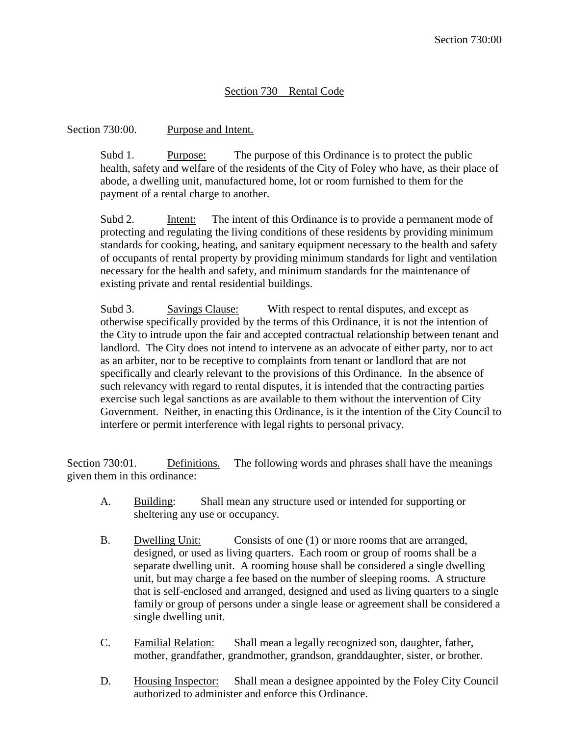## Section 730 – Rental Code

Section 730:00. Purpose and Intent.

Subd 1. Purpose: The purpose of this Ordinance is to protect the public health, safety and welfare of the residents of the City of Foley who have, as their place of abode, a dwelling unit, manufactured home, lot or room furnished to them for the payment of a rental charge to another.

Subd 2. Intent: The intent of this Ordinance is to provide a permanent mode of protecting and regulating the living conditions of these residents by providing minimum standards for cooking, heating, and sanitary equipment necessary to the health and safety of occupants of rental property by providing minimum standards for light and ventilation necessary for the health and safety, and minimum standards for the maintenance of existing private and rental residential buildings.

Subd 3. Savings Clause: With respect to rental disputes, and except as otherwise specifically provided by the terms of this Ordinance, it is not the intention of the City to intrude upon the fair and accepted contractual relationship between tenant and landlord. The City does not intend to intervene as an advocate of either party, nor to act as an arbiter, nor to be receptive to complaints from tenant or landlord that are not specifically and clearly relevant to the provisions of this Ordinance. In the absence of such relevancy with regard to rental disputes, it is intended that the contracting parties exercise such legal sanctions as are available to them without the intervention of City Government. Neither, in enacting this Ordinance, is it the intention of the City Council to interfere or permit interference with legal rights to personal privacy.

Section 730:01. Definitions. The following words and phrases shall have the meanings given them in this ordinance:

- A. Building: Shall mean any structure used or intended for supporting or sheltering any use or occupancy.
- B. Dwelling Unit: Consists of one (1) or more rooms that are arranged, designed, or used as living quarters. Each room or group of rooms shall be a separate dwelling unit. A rooming house shall be considered a single dwelling unit, but may charge a fee based on the number of sleeping rooms. A structure that is self-enclosed and arranged, designed and used as living quarters to a single family or group of persons under a single lease or agreement shall be considered a single dwelling unit.
- C. Familial Relation: Shall mean a legally recognized son, daughter, father, mother, grandfather, grandmother, grandson, granddaughter, sister, or brother.
- D. Housing Inspector: Shall mean a designee appointed by the Foley City Council authorized to administer and enforce this Ordinance.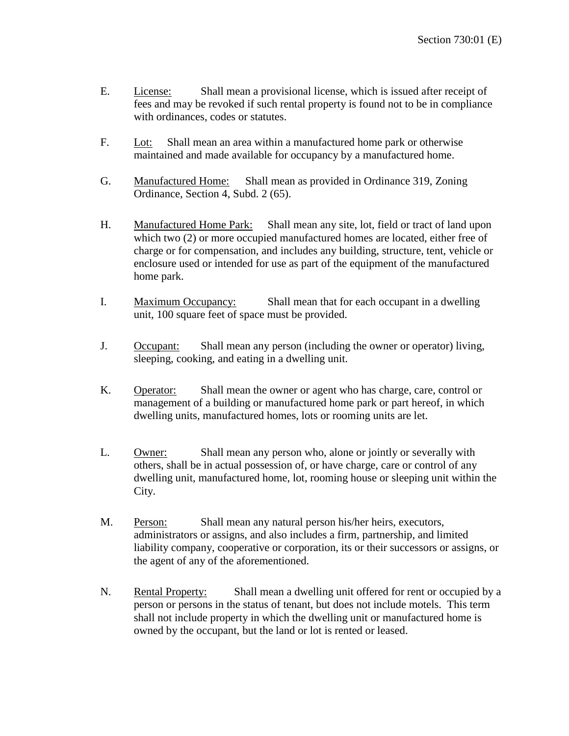- E. License: Shall mean a provisional license, which is issued after receipt of fees and may be revoked if such rental property is found not to be in compliance with ordinances, codes or statutes.
- F. Lot: Shall mean an area within a manufactured home park or otherwise maintained and made available for occupancy by a manufactured home.
- G. Manufactured Home: Shall mean as provided in Ordinance 319, Zoning Ordinance, Section 4, Subd. 2 (65).
- H. Manufactured Home Park: Shall mean any site, lot, field or tract of land upon which two (2) or more occupied manufactured homes are located, either free of charge or for compensation, and includes any building, structure, tent, vehicle or enclosure used or intended for use as part of the equipment of the manufactured home park.
- I. Maximum Occupancy: Shall mean that for each occupant in a dwelling unit, 100 square feet of space must be provided.
- J. Occupant: Shall mean any person (including the owner or operator) living, sleeping, cooking, and eating in a dwelling unit.
- K. Operator: Shall mean the owner or agent who has charge, care, control or management of a building or manufactured home park or part hereof, in which dwelling units, manufactured homes, lots or rooming units are let.
- L. Owner: Shall mean any person who, alone or jointly or severally with others, shall be in actual possession of, or have charge, care or control of any dwelling unit, manufactured home, lot, rooming house or sleeping unit within the City.
- M. Person: Shall mean any natural person his/her heirs, executors, administrators or assigns, and also includes a firm, partnership, and limited liability company, cooperative or corporation, its or their successors or assigns, or the agent of any of the aforementioned.
- N. Rental Property: Shall mean a dwelling unit offered for rent or occupied by a person or persons in the status of tenant, but does not include motels. This term shall not include property in which the dwelling unit or manufactured home is owned by the occupant, but the land or lot is rented or leased.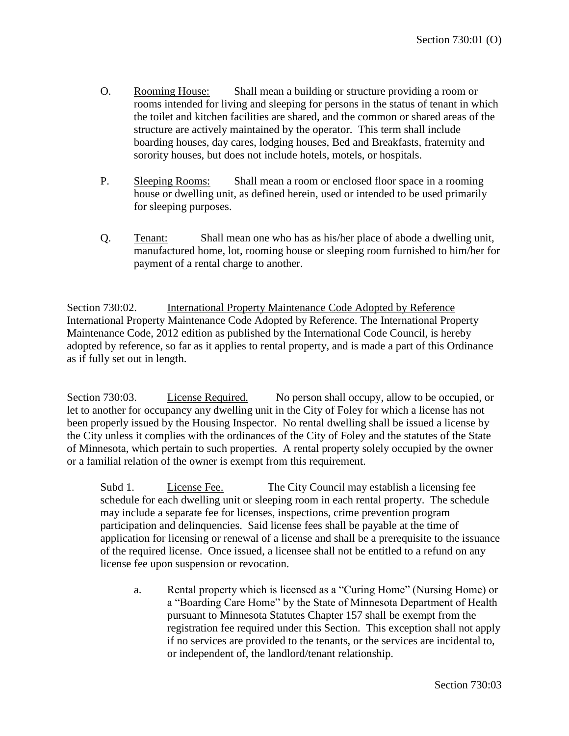- O. Rooming House: Shall mean a building or structure providing a room or rooms intended for living and sleeping for persons in the status of tenant in which the toilet and kitchen facilities are shared, and the common or shared areas of the structure are actively maintained by the operator. This term shall include boarding houses, day cares, lodging houses, Bed and Breakfasts, fraternity and sorority houses, but does not include hotels, motels, or hospitals.
- P. Sleeping Rooms: Shall mean a room or enclosed floor space in a rooming house or dwelling unit, as defined herein, used or intended to be used primarily for sleeping purposes.
- Q. Tenant: Shall mean one who has as his/her place of abode a dwelling unit, manufactured home, lot, rooming house or sleeping room furnished to him/her for payment of a rental charge to another.

Section 730:02. International Property Maintenance Code Adopted by Reference International Property Maintenance Code Adopted by Reference. The International Property Maintenance Code, 2012 edition as published by the International Code Council, is hereby adopted by reference, so far as it applies to rental property, and is made a part of this Ordinance as if fully set out in length.

Section 730:03. License Required. No person shall occupy, allow to be occupied, or let to another for occupancy any dwelling unit in the City of Foley for which a license has not been properly issued by the Housing Inspector. No rental dwelling shall be issued a license by the City unless it complies with the ordinances of the City of Foley and the statutes of the State of Minnesota, which pertain to such properties. A rental property solely occupied by the owner or a familial relation of the owner is exempt from this requirement.

Subd 1. License Fee. The City Council may establish a licensing fee schedule for each dwelling unit or sleeping room in each rental property. The schedule may include a separate fee for licenses, inspections, crime prevention program participation and delinquencies. Said license fees shall be payable at the time of application for licensing or renewal of a license and shall be a prerequisite to the issuance of the required license. Once issued, a licensee shall not be entitled to a refund on any license fee upon suspension or revocation.

a. Rental property which is licensed as a "Curing Home" (Nursing Home) or a "Boarding Care Home" by the State of Minnesota Department of Health pursuant to Minnesota Statutes Chapter 157 shall be exempt from the registration fee required under this Section. This exception shall not apply if no services are provided to the tenants, or the services are incidental to, or independent of, the landlord/tenant relationship.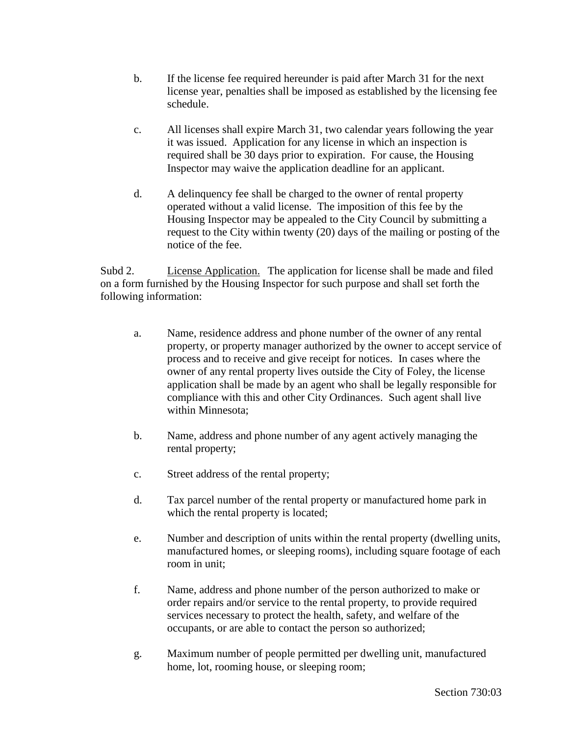- b. If the license fee required hereunder is paid after March 31 for the next license year, penalties shall be imposed as established by the licensing fee schedule.
- c. All licenses shall expire March 31, two calendar years following the year it was issued. Application for any license in which an inspection is required shall be 30 days prior to expiration. For cause, the Housing Inspector may waive the application deadline for an applicant.
- d. A delinquency fee shall be charged to the owner of rental property operated without a valid license. The imposition of this fee by the Housing Inspector may be appealed to the City Council by submitting a request to the City within twenty (20) days of the mailing or posting of the notice of the fee.

Subd 2. License Application. The application for license shall be made and filed on a form furnished by the Housing Inspector for such purpose and shall set forth the following information:

- a. Name, residence address and phone number of the owner of any rental property, or property manager authorized by the owner to accept service of process and to receive and give receipt for notices. In cases where the owner of any rental property lives outside the City of Foley, the license application shall be made by an agent who shall be legally responsible for compliance with this and other City Ordinances. Such agent shall live within Minnesota;
- b. Name, address and phone number of any agent actively managing the rental property;
- c. Street address of the rental property;
- d. Tax parcel number of the rental property or manufactured home park in which the rental property is located;
- e. Number and description of units within the rental property (dwelling units, manufactured homes, or sleeping rooms), including square footage of each room in unit;
- f. Name, address and phone number of the person authorized to make or order repairs and/or service to the rental property, to provide required services necessary to protect the health, safety, and welfare of the occupants, or are able to contact the person so authorized;
- g. Maximum number of people permitted per dwelling unit, manufactured home, lot, rooming house, or sleeping room;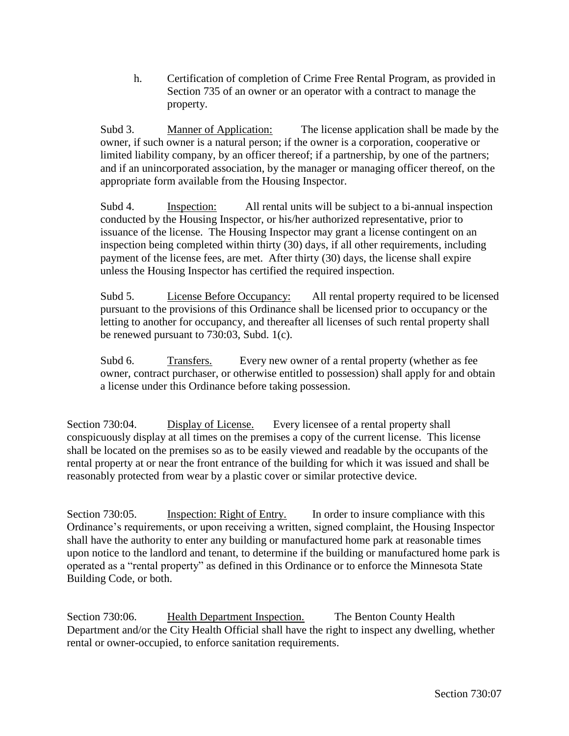h. Certification of completion of Crime Free Rental Program, as provided in Section 735 of an owner or an operator with a contract to manage the property.

Subd 3. Manner of Application: The license application shall be made by the owner, if such owner is a natural person; if the owner is a corporation, cooperative or limited liability company, by an officer thereof; if a partnership, by one of the partners; and if an unincorporated association, by the manager or managing officer thereof, on the appropriate form available from the Housing Inspector.

Subd 4. Inspection: All rental units will be subject to a bi-annual inspection conducted by the Housing Inspector, or his/her authorized representative, prior to issuance of the license. The Housing Inspector may grant a license contingent on an inspection being completed within thirty (30) days, if all other requirements, including payment of the license fees, are met. After thirty (30) days, the license shall expire unless the Housing Inspector has certified the required inspection.

Subd 5. License Before Occupancy: All rental property required to be licensed pursuant to the provisions of this Ordinance shall be licensed prior to occupancy or the letting to another for occupancy, and thereafter all licenses of such rental property shall be renewed pursuant to 730:03, Subd. 1(c).

Subd 6. Transfers. Every new owner of a rental property (whether as fee owner, contract purchaser, or otherwise entitled to possession) shall apply for and obtain a license under this Ordinance before taking possession.

Section 730:04. Display of License. Every licensee of a rental property shall conspicuously display at all times on the premises a copy of the current license. This license shall be located on the premises so as to be easily viewed and readable by the occupants of the rental property at or near the front entrance of the building for which it was issued and shall be reasonably protected from wear by a plastic cover or similar protective device.

Section 730:05. Inspection: Right of Entry. In order to insure compliance with this Ordinance's requirements, or upon receiving a written, signed complaint, the Housing Inspector shall have the authority to enter any building or manufactured home park at reasonable times upon notice to the landlord and tenant, to determine if the building or manufactured home park is operated as a "rental property" as defined in this Ordinance or to enforce the Minnesota State Building Code, or both.

Section 730:06. Health Department Inspection. The Benton County Health Department and/or the City Health Official shall have the right to inspect any dwelling, whether rental or owner-occupied, to enforce sanitation requirements.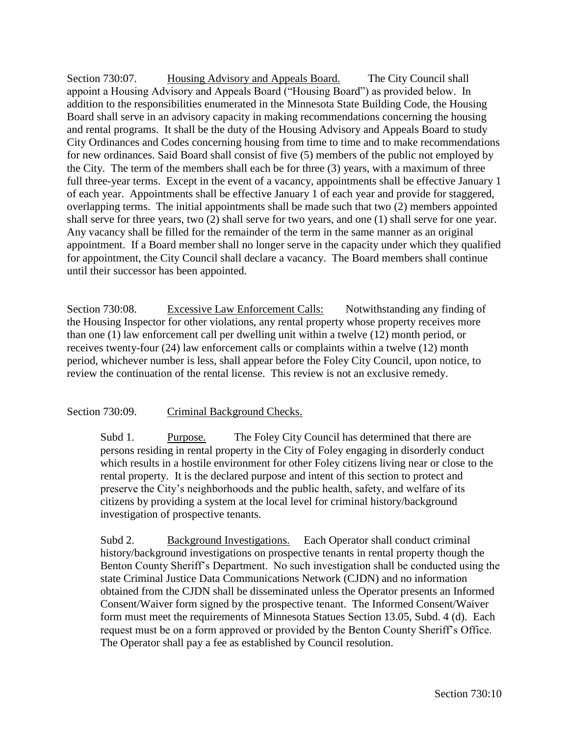Section 730:07. Housing Advisory and Appeals Board. The City Council shall appoint a Housing Advisory and Appeals Board ("Housing Board") as provided below. In addition to the responsibilities enumerated in the Minnesota State Building Code, the Housing Board shall serve in an advisory capacity in making recommendations concerning the housing and rental programs. It shall be the duty of the Housing Advisory and Appeals Board to study City Ordinances and Codes concerning housing from time to time and to make recommendations for new ordinances. Said Board shall consist of five (5) members of the public not employed by the City. The term of the members shall each be for three (3) years, with a maximum of three full three-year terms. Except in the event of a vacancy, appointments shall be effective January 1 of each year. Appointments shall be effective January 1 of each year and provide for staggered, overlapping terms. The initial appointments shall be made such that two (2) members appointed shall serve for three years, two (2) shall serve for two years, and one (1) shall serve for one year. Any vacancy shall be filled for the remainder of the term in the same manner as an original appointment. If a Board member shall no longer serve in the capacity under which they qualified for appointment, the City Council shall declare a vacancy. The Board members shall continue until their successor has been appointed.

Section 730:08. Excessive Law Enforcement Calls: Notwithstanding any finding of the Housing Inspector for other violations, any rental property whose property receives more than one (1) law enforcement call per dwelling unit within a twelve (12) month period, or receives twenty-four (24) law enforcement calls or complaints within a twelve (12) month period, whichever number is less, shall appear before the Foley City Council, upon notice, to review the continuation of the rental license. This review is not an exclusive remedy.

## Section 730:09. Criminal Background Checks.

Subd 1. Purpose. The Foley City Council has determined that there are persons residing in rental property in the City of Foley engaging in disorderly conduct which results in a hostile environment for other Foley citizens living near or close to the rental property. It is the declared purpose and intent of this section to protect and preserve the City's neighborhoods and the public health, safety, and welfare of its citizens by providing a system at the local level for criminal history/background investigation of prospective tenants.

Subd 2. Background Investigations. Each Operator shall conduct criminal history/background investigations on prospective tenants in rental property though the Benton County Sheriff's Department. No such investigation shall be conducted using the state Criminal Justice Data Communications Network (CJDN) and no information obtained from the CJDN shall be disseminated unless the Operator presents an Informed Consent/Waiver form signed by the prospective tenant. The Informed Consent/Waiver form must meet the requirements of Minnesota Statues Section 13.05, Subd. 4 (d). Each request must be on a form approved or provided by the Benton County Sheriff's Office. The Operator shall pay a fee as established by Council resolution.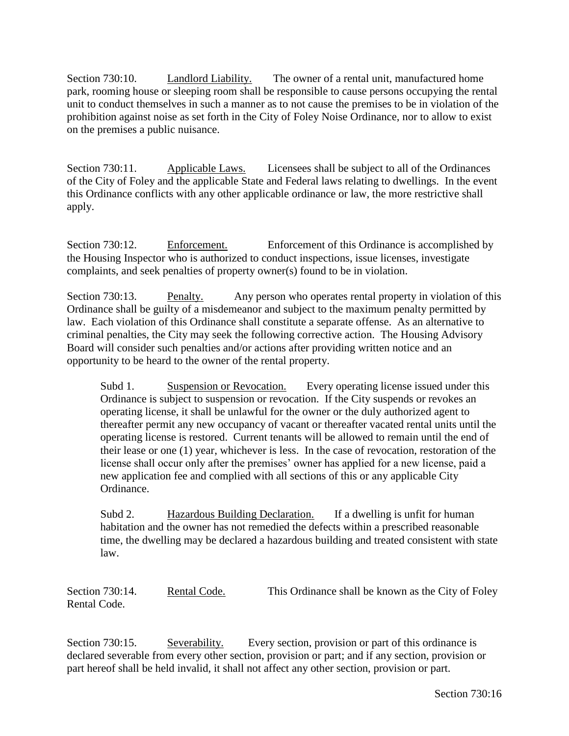Section 730:10. Landlord Liability. The owner of a rental unit, manufactured home park, rooming house or sleeping room shall be responsible to cause persons occupying the rental unit to conduct themselves in such a manner as to not cause the premises to be in violation of the prohibition against noise as set forth in the City of Foley Noise Ordinance, nor to allow to exist on the premises a public nuisance.

Section 730:11. Applicable Laws. Licensees shall be subject to all of the Ordinances of the City of Foley and the applicable State and Federal laws relating to dwellings. In the event this Ordinance conflicts with any other applicable ordinance or law, the more restrictive shall apply.

Section 730:12. Enforcement. Enforcement of this Ordinance is accomplished by the Housing Inspector who is authorized to conduct inspections, issue licenses, investigate complaints, and seek penalties of property owner(s) found to be in violation.

Section 730:13. Penalty. Any person who operates rental property in violation of this Ordinance shall be guilty of a misdemeanor and subject to the maximum penalty permitted by law. Each violation of this Ordinance shall constitute a separate offense. As an alternative to criminal penalties, the City may seek the following corrective action. The Housing Advisory Board will consider such penalties and/or actions after providing written notice and an opportunity to be heard to the owner of the rental property.

Subd 1. Suspension or Revocation. Every operating license issued under this Ordinance is subject to suspension or revocation. If the City suspends or revokes an operating license, it shall be unlawful for the owner or the duly authorized agent to thereafter permit any new occupancy of vacant or thereafter vacated rental units until the operating license is restored. Current tenants will be allowed to remain until the end of their lease or one (1) year, whichever is less. In the case of revocation, restoration of the license shall occur only after the premises' owner has applied for a new license, paid a new application fee and complied with all sections of this or any applicable City Ordinance.

Subd 2. Hazardous Building Declaration. If a dwelling is unfit for human habitation and the owner has not remedied the defects within a prescribed reasonable time, the dwelling may be declared a hazardous building and treated consistent with state law.

Section 730:14. Rental Code. This Ordinance shall be known as the City of Foley Rental Code.

Section 730:15. Severability. Every section, provision or part of this ordinance is declared severable from every other section, provision or part; and if any section, provision or part hereof shall be held invalid, it shall not affect any other section, provision or part.